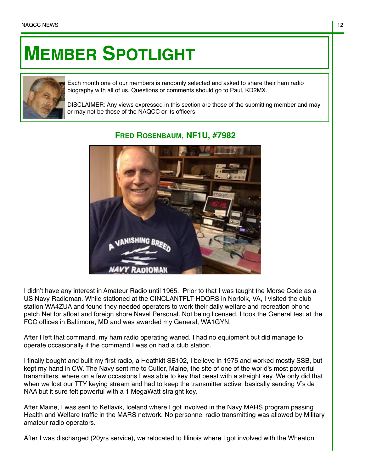## **MEMBER SPOTLIGHT**



Each month one of our members is randomly selected and asked to share their ham radio biography with all of us. Questions or comments should go to Paul, KD2MX.

DISCLAIMER: Any views expressed in this section are those of the submitting member and may or may not be those of the NAQCC or its officers.



## **FRED ROSENBAUM, NF1U, #7982**

I didn't have any interest in Amateur Radio until 1965. Prior to that I was taught the Morse Code as a US Navy Radioman. While stationed at the CINCLANTFLT HDQRS in Norfolk, VA, I visited the club station WA4ZUA and found they needed operators to work their daily welfare and recreation phone patch Net for afloat and foreign shore Naval Personal. Not being licensed, I took the General test at the FCC offices in Baltimore, MD and was awarded my General, WA1GYN.

After I left that command, my ham radio operating waned. I had no equipment but did manage to operate occasionally if the command I was on had a club station.

I finally bought and built my first radio, a Heathkit SB102, I believe in 1975 and worked mostly SSB, but kept my hand in CW. The Navy sent me to Cutler, Maine, the site of one of the world's most powerful transmitters, where on a few occasions I was able to key that beast with a straight key. We only did that when we lost our TTY keying stream and had to keep the transmitter active, basically sending V's de NAA but it sure felt powerful with a 1 MegaWatt straight key.

After Maine, I was sent to Keflavik, Iceland where I got involved in the Navy MARS program passing Health and Welfare traffic in the MARS network. No personnel radio transmitting was allowed by Military amateur radio operators.

After I was discharged (20yrs service), we relocated to Illinois where I got involved with the Wheaton